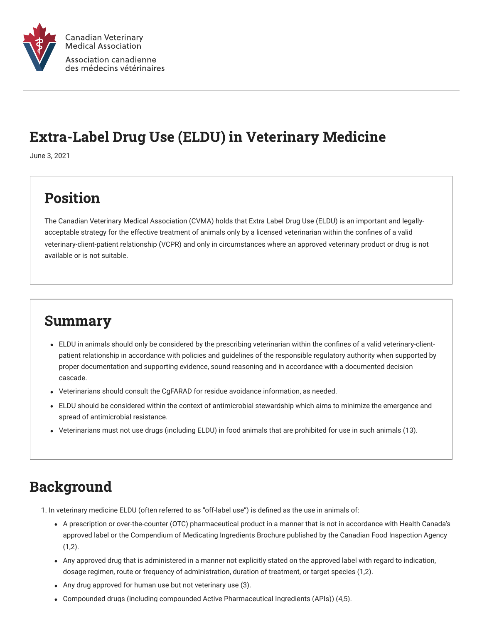

### Extra-Label Drug Use (ELDU) in Veterinary Medicine

June 3, 2021

# Position

The Canadian Veterinary Medical Association (CVMA) holds that Extra Label Drug Use (ELDU) is an important and legallyacceptable strategy for the effective treatment of animals only by a licensed veterinarian within the confines of a valid veterinary-client-patient relationship (VCPR) and only in circumstances where an approved veterinary product or drug is not available or is not suitable.

#### Summary

- ELDU in animals should only be considered by the prescribing veterinarian within the confines of a valid veterinary-clientpatient relationship in accordance with policies and guidelines of the responsible regulatory authority when supported by proper documentation and supporting evidence, sound reasoning and in accordance with a documented decision cascade.
- Veterinarians should consult the CgFARAD for residue avoidance information, as needed.
- ELDU should be considered within the context of antimicrobial stewardship which aims to minimize the emergence and spread of antimicrobial resistance.
- Veterinarians must not use drugs (including ELDU) in food animals that are prohibited for use in such animals (13).

# Background

1. In veterinary medicine ELDU (often referred to as "off-label use") is defined as the use in animals of:

- A prescription or over-the-counter (OTC) pharmaceutical product in a manner that is not in accordance with Health Canada's approved label or the Compendium of Medicating Ingredients Brochure published by the Canadian Food Inspection Agency  $(1,2)$ .
- Any approved drug that is administered in a manner not explicitly stated on the approved label with regard to indication, dosage regimen, route or frequency of administration, duration of treatment, or target species (1,2).
- Any drug approved for human use but not veterinary use (3).
- Compounded drugs (including compounded Active Pharmaceutical Ingredients (APIs)) (4,5).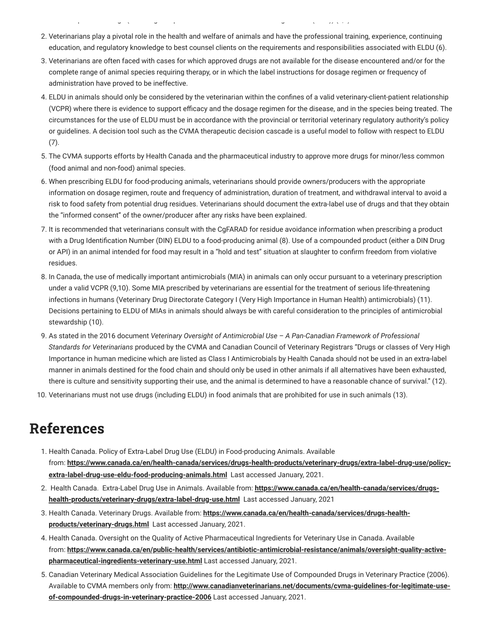2. Veterinarians play a pivotal role in the health and welfare of animals and have the professional training, experience, continuing education, and regulatory knowledge to best counsel clients on the requirements and responsibilities associated with ELDU (6).

p g  $g$  p g  $g$  p g  $g$  f  $g$  f  $g$  f  $g$  f  $g$  f  $g$  f  $g$  f  $g$  f  $g$  f  $g$  f  $g$  f  $g$  f  $g$  f  $g$  f  $g$  f  $g$  f  $g$  f  $g$  f  $g$  f  $g$  f  $g$  f  $g$  f  $g$  f  $g$  f  $g$  f  $g$  f  $g$  f  $g$  f  $g$  f  $g$  f  $g$  f  $g$  f  $g$  f  $g$ 

- 3. Veterinarians are often faced with cases for which approved drugs are not available for the disease encountered and/or for the complete range of animal species requiring therapy, or in which the label instructions for dosage regimen or frequency of administration have proved to be ineffective.
- 4. ELDU in animals should only be considered by the veterinarian within the confines of a valid veterinary-client-patient relationship (VCPR) where there is evidence to support efficacy and the dosage regimen for the disease, and in the species being treated. The circumstances for the use of ELDU must be in accordance with the provincial or territorial veterinary regulatory authority's policy or guidelines. A decision tool such as the CVMA therapeutic decision cascade is a useful model to follow with respect to ELDU (7).
- 5. The CVMA supports efforts by Health Canada and the pharmaceutical industry to approve more drugs for minor/less common (food animal and non-food) animal species.
- 6. When prescribing ELDU for food-producing animals, veterinarians should provide owners/producers with the appropriate information on dosage regimen, route and frequency of administration, duration of treatment, and withdrawal interval to avoid a risk to food safety from potential drug residues. Veterinarians should document the extra-label use of drugs and that they obtain the "informed consent" of the owner/producer after any risks have been explained.
- 7. It is recommended that veterinarians consult with the CgFARAD for residue avoidance information when prescribing a product with a Drug Identification Number (DIN) ELDU to a food-producing animal (8). Use of a compounded product (either a DIN Drug or API) in an animal intended for food may result in a "hold and test" situation at slaughter to confirm freedom from violative residues.
- 8. In Canada, the use of medically important antimicrobials (MIA) in animals can only occur pursuant to a veterinary prescription under a valid VCPR (9,10). Some MIA prescribed by veterinarians are essential for the treatment of serious life-threatening infections in humans (Veterinary Drug Directorate Category I (Very High Importance in Human Health) antimicrobials) (11). Decisions pertaining to ELDU of MIAs in animals should always be with careful consideration to the principles of antimicrobial stewardship (10).
- 9. As stated in the 2016 document *Veterinary Oversight of Antimicrobial Use A Pan-Canadian Framework of Professional Standards for Veterinarians* produced by the CVMA and Canadian Council of Veterinary Registrars "Drugs or classes of Very High Importance in human medicine which are listed as Class I Antimicrobials by Health Canada should not be used in an extra-label manner in animals destined for the food chain and should only be used in other animals if all alternatives have been exhausted, there is culture and sensitivity supporting their use, and the animal is determined to have a reasonable chance of survival." (12).
- 10. Veterinarians must not use drugs (including ELDU) in food animals that are prohibited for use in such animals (13).

### References

- 1. Health Canada. Policy of Extra-Label Drug Use (ELDU) in Food-producing Animals. Available from: **[https://www.canada.ca/en/health-canada/services/drugs-health-products/veterinary-drugs/extra-label-drug-use/policy](https://www.canada.ca/en/health-canada/services/drugs-health-products/veterinary-drugs/extra-label-drug-use/policy-extra-label-drug-use-eldu-food-producing-animals.html)extra-label-drug-use-eldu-food-producing-animals.html** Last accessed January, 2021.
- 2.  [Health Canada. Extra-Label Drug Use in Animals. Available from:](https://www.canada.ca/en/health-canada/services/drugs-health-products/veterinary-drugs/extra-label-drug-use.html) **https://www.canada.ca/en/health-canada/services/drugshealth-products/veterinary-drugs/extra-label-drug-use.html** Last accessed January, 2021
- 3. Health Canada. Veterinary Drugs. Available from: **[https://www.canada.ca/en/health-canada/services/drugs-health](https://www.canada.ca/en/health-canada/services/drugs-health-products/veterinary-drugs.html)products/veterinary-drugs.html** Last accessed January, 2021.
- 4. Health Canada. Oversight on the Quality of Active Pharmaceutical Ingredients for Veterinary Use in Canada. Available from: **[https://www.canada.ca/en/public-health/services/antibiotic-antimicrobial-resistance/animals/oversight-quality-active](https://www.canada.ca/en/public-health/services/antibiotic-antimicrobial-resistance/animals/oversight-quality-active-pharmaceutical-ingredients-veterinary-use.html)pharmaceutical-ingredients-veterinary-use.html** Last accessed January, 2021.
- 5. Canadian Veterinary Medical Association Guidelines for the Legitimate Use of Compounded Drugs in Veterinary Practice (2006). Available to CVMA members only from: **[http://www.canadianveterinarians.net/documents/cvma-guidelines-for-legitimate-use](http://www.canadianveterinarians.net/documents/cvma-guidelines-for-legitimate-use-of-compounded-drugs-in-veterinary-practice-2006)of-compounded-drugs-in-veterinary-practice-2006** Last accessed January, 2021.